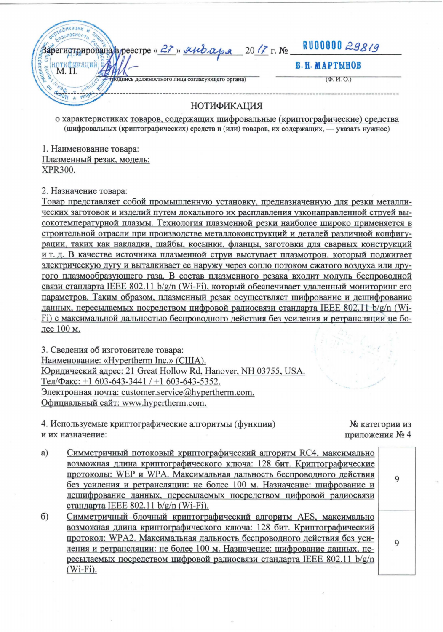| CR30MacHocy.                                                   |                       |
|----------------------------------------------------------------|-----------------------|
|                                                                | RU00000 29819         |
| Saperngrpuposaria) peecrpe « $2$ , » $\mu\nu$ apa 20 (? r. No. | В. Н. МАРТЫНОВ        |
|                                                                | $(\Phi$ , $M$ , $O$ . |
| <b>IGHW</b><br>НОТИФИКАЦИЯ                                     |                       |

о характеристиках товаров, содержащих шифровальные (криптографические) средства (шифровальных (криптографических) средств и (или) товаров, их содержащих, - указать нужное)

1. Наименование товара: Плазменный резак, модель: XPR300.

2. Назначение товара:

Товар представляет собой промышленную установку, предназначенную для резки металлических заготовок и изделий путем локального их расплавления узконаправленной струей высокотемпературной плазмы. Технология плазменной резки наиболее широко применяется в строительной отрасли при производстве металлоконструкций и деталей различной конфигурации, таких как накладки, шайбы, косынки, фланцы, заготовки для сварных конструкций и т. д. В качестве источника плазменной струи выступает плазмотрон, который поджигает электрическую дугу и выталкивает ее наружу через сопло потоком сжатого воздуха или другого плазмообразующего газа. В состав плазменного резака входит модуль беспроводной связи стандарта IEEE 802.11 b/g/n (Wi-Fi), который обеспечивает удаленный мониторинг его параметров. Таким образом, плазменный резак осуществляет шифрование и дешифрование данных, пересылаемых посредством цифровой радиосвязи стандарта IEEE 802.11 b/g/n (Wi-Fi) с максимальной дальностью беспроводного действия без усиления и ретрансляции не более 100 м.

3. Сведения об изготовителе товара: Наименование: «Hypertherm Inc.» (США). Юридический адрес: 21 Great Hollow Rd, Hanover, NH 03755, USA. Тел/Факс: +1 603-643-3441 / +1 603-643-5352. Электронная почта: customer.service@hypertherm.com. Официальный сайт: www.hypertherm.com.

4. Используемые криптографические алгоритмы (функции) и их назначение:

№ категории из приложения № 4

 $\mathsf Q$ 

 $\mathsf{Q}$ 

- a) Симметричный потоковый криптографический алгоритм RC4, максимально возможная длина криптографического ключа: 128 бит. Криптографические протоколы: WEP и WPA. Максимальная дальность беспроводного действия без усиления и ретрансляции: не более 100 м. Назначение: шифрование и дешифрование данных, пересылаемых посредством цифровой радиосвязи стандарта IEEE 802.11 b/g/n (Wi-Fi).
- Симметричный блочный криптографический алгоритм AES, максимально  $\sigma$ возможная длина криптографического ключа: 128 бит. Криптографический протокол: WPA2. Максимальная дальность беспроводного действия без усиления и ретрансляции: не более 100 м. Назначение: шифрование данных, пересылаемых посредством цифровой радиосвязи стандарта IEEE 802.11 b/g/n  $(Wi-Fi)$ .